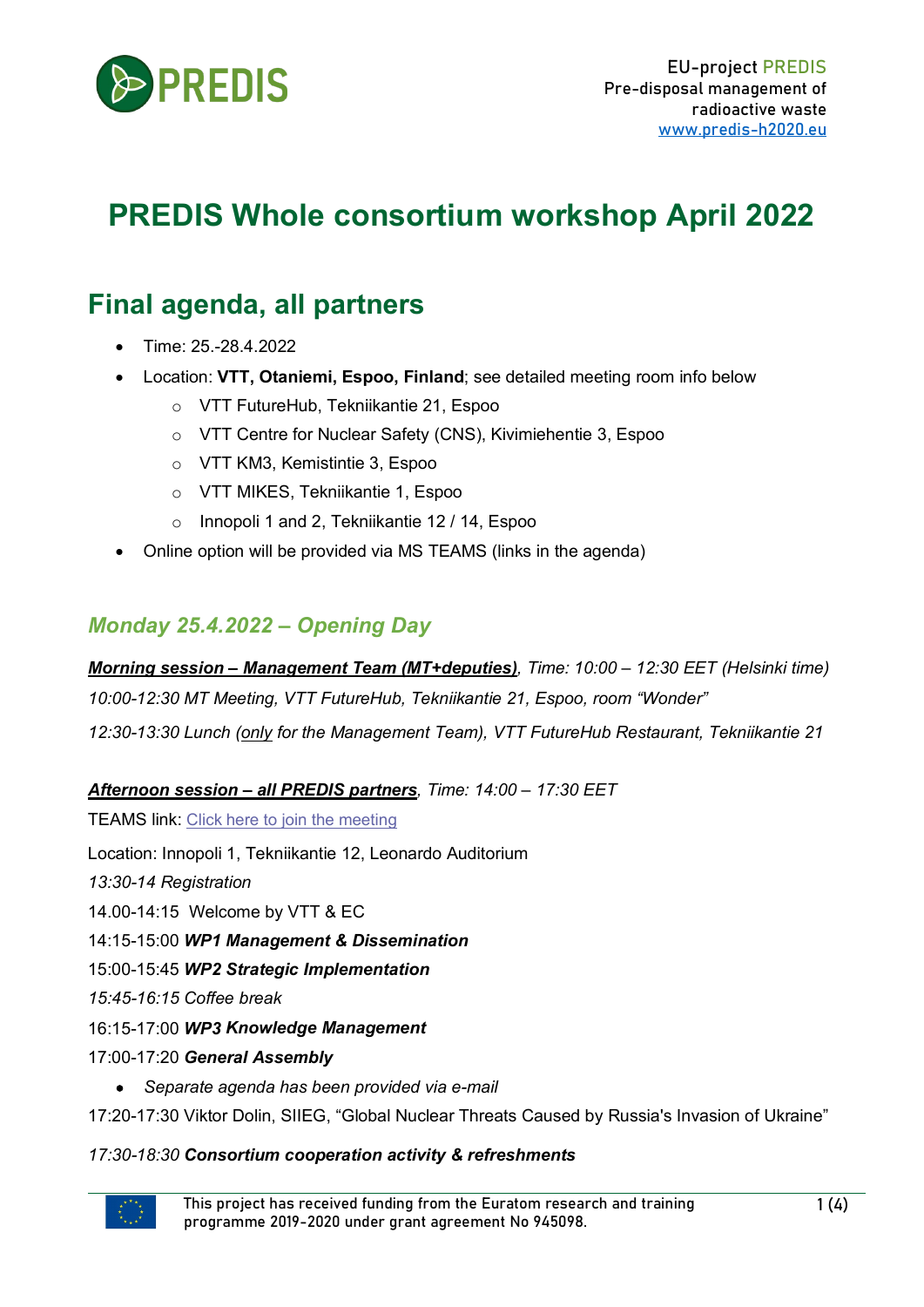

# **PREDIS Whole consortium workshop April 2022**

## **Final agenda, all partners**

- Time: 25.-28.4.2022
- Location: **VTT, Otaniemi, Espoo, Finland**; see detailed meeting room info below
	- o VTT FutureHub, Tekniikantie 21, Espoo
	- o VTT Centre for Nuclear Safety (CNS), Kivimiehentie 3, Espoo
	- o VTT KM3, Kemistintie 3, Espoo
	- o VTT MIKES, Tekniikantie 1, Espoo
	- o Innopoli 1 and 2, Tekniikantie 12 / 14, Espoo
- Online option will be provided via MS TEAMS (links in the agenda)

## *Monday 25.4.2022 – Opening Day*

*Morning session – Management Team (MT+deputies), Time: 10:00 – 12:30 EET (Helsinki time) 10:00-12:30 MT Meeting, VTT FutureHub, Tekniikantie 21, Espoo, room "Wonder" 12:30-13:30 Lunch (only for the Management Team), VTT FutureHub Restaurant, Tekniikantie 21*

#### *Afternoon session – all PREDIS partners, Time: 14:00 – 17:30 EET*

TEAMS link: [Click here to join the meeting](https://eur03.safelinks.protection.outlook.com/ap/t-59584e83/?url=https%3A%2F%2Fteams.microsoft.com%2Fl%2Fmeetup-join%2F19%253ameeting_NWNjZTJjMzctOTljOC00YzYyLThhYjgtNDI0ZGVkOGQ2ZDY3%2540thread.v2%2F0%3Fcontext%3D%257b%2522Tid%2522%253a%252268d6b592-5008-43b5-9b04-23bec4e86cf7%2522%252c%2522Oid%2522%253a%2522d517d605-80f5-4c0e-b241-820d18b0ea9c%2522%257d&data=04%7C01%7CMaria.Oksa%40vtt.fi%7Ca99ef875c6c8464007cc08da1dfee39c%7C68d6b592500843b59b0423bec4e86cf7%7C0%7C0%7C637855277819944791%7CUnknown%7CTWFpbGZsb3d8eyJWIjoiMC4wLjAwMDAiLCJQIjoiV2luMzIiLCJBTiI6Ik1haWwiLCJXVCI6Mn0%3D%7C3000&sdata=STF1CbsFw10r6nMhGVTYBVTueaH7yuyzT1l%2B4nuv0m4%3D&reserved=0)

Location: Innopoli 1, Tekniikantie 12, Leonardo Auditorium

*13:30-14 Registration*

14.00-14:15 Welcome by VTT & EC

14:15-15:00 *WP1 Management & Dissemination*

15:00-15:45 *WP2 Strategic Implementation*

*15:45-16:15 Coffee break*

16:15-17:00 *WP3 Knowledge Management*

17:00-17:20 *General Assembly* 

• *Separate agenda has been provided via e-mail*

17:20-17:30 Viktor Dolin, SIIEG, "Global Nuclear Threats Caused by Russia's Invasion of Ukraine"

#### *17:30-18:30 Consortium cooperation activity & refreshments*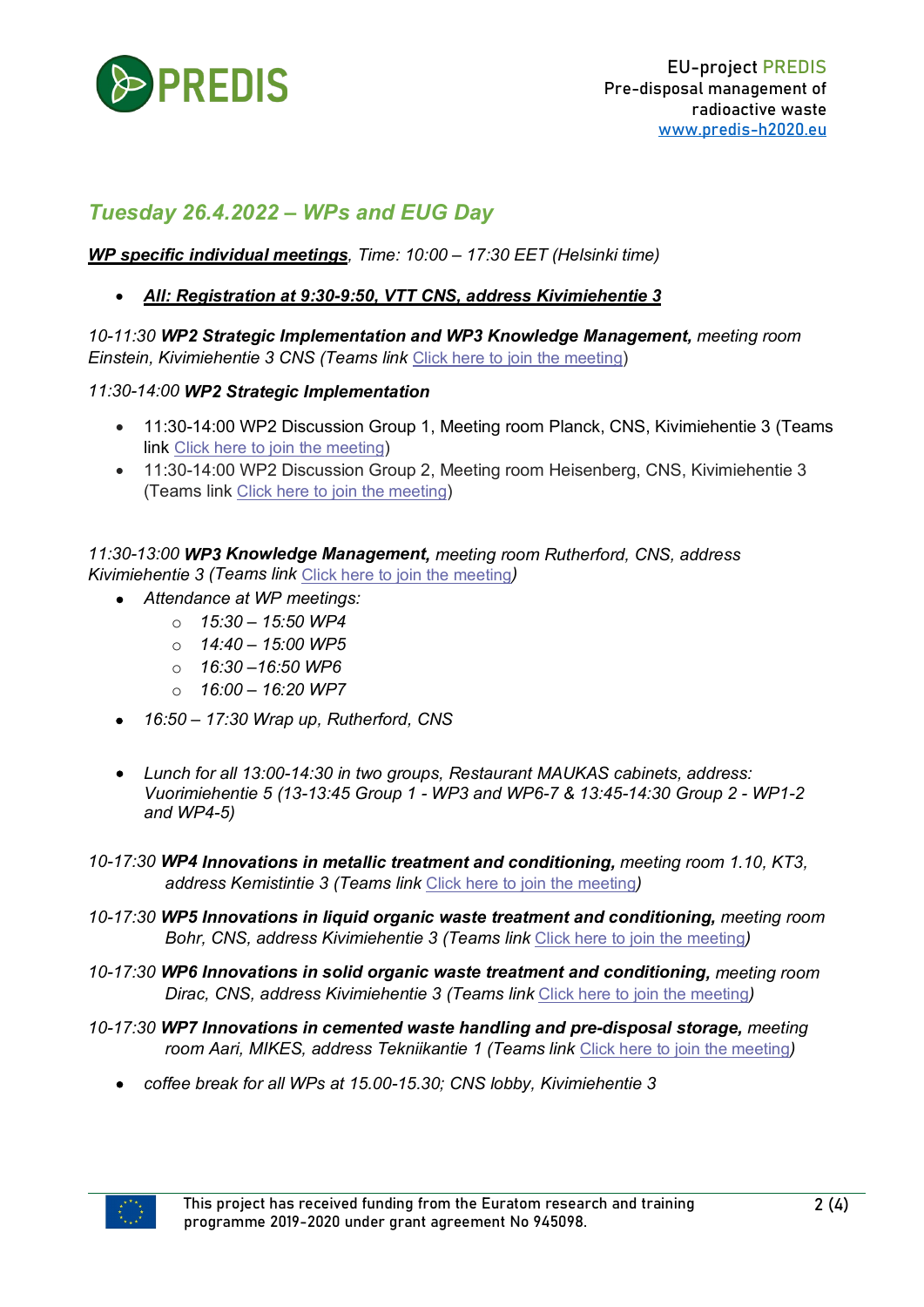

## *Tuesday 26.4.2022 – WPs and EUG Day*

#### *WP specific individual meetings, Time: 10:00 – 17:30 EET (Helsinki time)*

#### • *All: Registration at 9:30-9:50, VTT CNS, address Kivimiehentie 3*

*10-11:30 WP2 Strategic Implementation and WP3 Knowledge Management, meeting room Einstein, Kivimiehentie 3 CNS (Teams link* [Click here to join the meeting\)](https://eur03.safelinks.protection.outlook.com/ap/t-59584e83/?url=https%3A%2F%2Fteams.microsoft.com%2Fl%2Fmeetup-join%2F19%253ameeting_Y2Y2OTU4MjgtNDdlNC00MjJhLWE1ZDktNjcyYzgxOGRjZDVh%2540thread.v2%2F0%3Fcontext%3D%257b%2522Tid%2522%253a%252268d6b592-5008-43b5-9b04-23bec4e86cf7%2522%252c%2522Oid%2522%253a%2522d517d605-80f5-4c0e-b241-820d18b0ea9c%2522%257d&data=04%7C01%7CMaria.Oksa%40vtt.fi%7C385465ce8d4748ca13fb08da1dfd282b%7C68d6b592500843b59b0423bec4e86cf7%7C0%7C0%7C637855270375439481%7CUnknown%7CTWFpbGZsb3d8eyJWIjoiMC4wLjAwMDAiLCJQIjoiV2luMzIiLCJBTiI6Ik1haWwiLCJXVCI6Mn0%3D%7C3000&sdata=Dm%2FfJDtCR602vajC4tWhfr4HJY6rn9Obw3fjosLXasw%3D&reserved=0)

#### *11:30-14:00 WP2 Strategic Implementation*

- 11:30-14:00 WP2 Discussion Group 1, Meeting room Planck, CNS, Kivimiehentie 3 (Teams link [Click here to join the meeting\)](https://eur03.safelinks.protection.outlook.com/ap/t-59584e83/?url=https%3A%2F%2Fteams.microsoft.com%2Fl%2Fmeetup-join%2F19%253ameeting_NmFkYzVjMzAtZTAyYy00OTVjLWEwYmEtOTM5YjdlZTkzMmZi%2540thread.v2%2F0%3Fcontext%3D%257b%2522Tid%2522%253a%252268d6b592-5008-43b5-9b04-23bec4e86cf7%2522%252c%2522Oid%2522%253a%2522d517d605-80f5-4c0e-b241-820d18b0ea9c%2522%257d&data=04%7C01%7CMaria.Oksa%40vtt.fi%7C253766eadf7f4ec83a9a08da1dfdee54%7C68d6b592500843b59b0423bec4e86cf7%7C0%7C0%7C637855273694365149%7CUnknown%7CTWFpbGZsb3d8eyJWIjoiMC4wLjAwMDAiLCJQIjoiV2luMzIiLCJBTiI6Ik1haWwiLCJXVCI6Mn0%3D%7C3000&sdata=hhBmPAGmzav5tof2NKs4ozTDdrBILI872vXpKvk7%2F0k%3D&reserved=0)
- 11:30-14:00 WP2 Discussion Group 2, Meeting room Heisenberg, CNS, Kivimiehentie 3 (Teams link [Click here to join the meeting\)](https://eur03.safelinks.protection.outlook.com/ap/t-59584e83/?url=https%3A%2F%2Fteams.microsoft.com%2Fl%2Fmeetup-join%2F19%253ameeting_OTEwNTcyOGYtNjg0Yi00NDMzLWJhYWMtOWFlMDk2ZDFlZWFh%2540thread.v2%2F0%3Fcontext%3D%257b%2522Tid%2522%253a%252268d6b592-5008-43b5-9b04-23bec4e86cf7%2522%252c%2522Oid%2522%253a%2522d517d605-80f5-4c0e-b241-820d18b0ea9c%2522%257d&data=04%7C01%7CMaria.Oksa%40vtt.fi%7C1d56f023989945d126ff08da1dfe7f03%7C68d6b592500843b59b0423bec4e86cf7%7C0%7C0%7C637855276131926727%7CUnknown%7CTWFpbGZsb3d8eyJWIjoiMC4wLjAwMDAiLCJQIjoiV2luMzIiLCJBTiI6Ik1haWwiLCJXVCI6Mn0%3D%7C3000&sdata=IgVdgl44NH3IztfLYkDBwFzjUC6nexKRK7m3N8feU14%3D&reserved=0)

*11:30-13:00 WP3 Knowledge Management, meeting room Rutherford, CNS, address Kivimiehentie 3 (Teams link* [Click here to join the meeting](https://eur03.safelinks.protection.outlook.com/ap/t-59584e83/?url=https%3A%2F%2Fteams.microsoft.com%2Fl%2Fmeetup-join%2F19%253ameeting_NThhYTYxMmUtMjE0Yi00YjQyLTgyM2YtNWE0M2Y3OGYxYjhm%2540thread.v2%2F0%3Fcontext%3D%257b%2522Tid%2522%253a%252268d6b592-5008-43b5-9b04-23bec4e86cf7%2522%252c%2522Oid%2522%253a%2522d517d605-80f5-4c0e-b241-820d18b0ea9c%2522%257d&data=04%7C01%7CMaria.Oksa%40vtt.fi%7C253f81a08d7c432bfd7a08da1dfe8e39%7C68d6b592500843b59b0423bec4e86cf7%7C0%7C0%7C637855276376025332%7CUnknown%7CTWFpbGZsb3d8eyJWIjoiMC4wLjAwMDAiLCJQIjoiV2luMzIiLCJBTiI6Ik1haWwiLCJXVCI6Mn0%3D%7C3000&sdata=zBJQvMe9aib2G%2FhrpEPXbR%2Fpd6qXYg5xZr4mqMix8PM%3D&reserved=0)*)*

- *Attendance at WP meetings:*
	- o *15:30 – 15:50 WP4*
	- o *14:40 – 15:00 WP5*
	- o *16:30 –16:50 WP6*
	- o *16:00 – 16:20 WP7*
- *16:50 – 17:30 Wrap up, Rutherford, CNS*
- *Lunch for all 13:00-14:30 in two groups, Restaurant MAUKAS cabinets, address: Vuorimiehentie 5 (13-13:45 Group 1 - WP3 and WP6-7 & 13:45-14:30 Group 2 - WP1-2 and WP4-5)*
- *10-17:30 WP4 Innovations in metallic treatment and conditioning, meeting room 1.10, KT3, address Kemistintie 3 (Teams link* [Click here to join the meeting](https://eur03.safelinks.protection.outlook.com/ap/t-59584e83/?url=https%3A%2F%2Fteams.microsoft.com%2Fl%2Fmeetup-join%2F19%253ameeting_NDNlZmY0OTgtNTY3Yy00ODBlLTg3MjgtNTQ0Mzc1NTE1MWIz%2540thread.v2%2F0%3Fcontext%3D%257b%2522Tid%2522%253a%252268d6b592-5008-43b5-9b04-23bec4e86cf7%2522%252c%2522Oid%2522%253a%2522d517d605-80f5-4c0e-b241-820d18b0ea9c%2522%257d&data=04%7C01%7CMaria.Oksa%40vtt.fi%7Ca4fd4b26363e44db296708da1dfd83ea%7C68d6b592500843b59b0423bec4e86cf7%7C0%7C0%7C637855271917084636%7CUnknown%7CTWFpbGZsb3d8eyJWIjoiMC4wLjAwMDAiLCJQIjoiV2luMzIiLCJBTiI6Ik1haWwiLCJXVCI6Mn0%3D%7C3000&sdata=%2BPfvN0UtWXRpQ8rHmCIq%2BdB8Z6C5q%2BLJ9I1iXOL9zCc%3D&reserved=0)*)*
- *10-17:30 WP5 Innovations in liquid organic waste treatment and conditioning, meeting room Bohr, CNS, address Kivimiehentie 3 (Teams link* [Click here to join the meeting](https://eur03.safelinks.protection.outlook.com/ap/t-59584e83/?url=https%3A%2F%2Fteams.microsoft.com%2Fl%2Fmeetup-join%2F19%253ameeting_NTBjZmQzMTYtMTIyZS00N2EyLTk2MjEtODNkNjM5ZDg3NDJi%2540thread.v2%2F0%3Fcontext%3D%257b%2522Tid%2522%253a%252268d6b592-5008-43b5-9b04-23bec4e86cf7%2522%252c%2522Oid%2522%253a%2522d517d605-80f5-4c0e-b241-820d18b0ea9c%2522%257d&data=04%7C01%7CMaria.Oksa%40vtt.fi%7C8e75f9e5da7f415e1b3408da1dfdca32%7C68d6b592500843b59b0423bec4e86cf7%7C0%7C0%7C637855273090019858%7CUnknown%7CTWFpbGZsb3d8eyJWIjoiMC4wLjAwMDAiLCJQIjoiV2luMzIiLCJBTiI6Ik1haWwiLCJXVCI6Mn0%3D%7C3000&sdata=%2F5pW%2Fn%2FpNpPo0%2FH5H7mqthGSNpA28ZeHCmXPsJDTv%2FQ%3D&reserved=0)*)*
- *10-17:30 WP6 Innovations in solid organic waste treatment and conditioning, meeting room Dirac, CNS, address Kivimiehentie 3 (Teams link* [Click here to join the meeting](https://eur03.safelinks.protection.outlook.com/ap/t-59584e83/?url=https%3A%2F%2Fteams.microsoft.com%2Fl%2Fmeetup-join%2F19%253ameeting_NmFkYzVjMzAtZTAyYy00OTVjLWEwYmEtOTM5YjdlZTkzMmZi%2540thread.v2%2F0%3Fcontext%3D%257b%2522Tid%2522%253a%252268d6b592-5008-43b5-9b04-23bec4e86cf7%2522%252c%2522Oid%2522%253a%2522d517d605-80f5-4c0e-b241-820d18b0ea9c%2522%257d&data=04%7C01%7CMaria.Oksa%40vtt.fi%7C253766eadf7f4ec83a9a08da1dfdee54%7C68d6b592500843b59b0423bec4e86cf7%7C0%7C0%7C637855273694365149%7CUnknown%7CTWFpbGZsb3d8eyJWIjoiMC4wLjAwMDAiLCJQIjoiV2luMzIiLCJBTiI6Ik1haWwiLCJXVCI6Mn0%3D%7C3000&sdata=hhBmPAGmzav5tof2NKs4ozTDdrBILI872vXpKvk7%2F0k%3D&reserved=0)*)*
- *10-17:30 WP7 Innovations in cemented waste handling and pre-disposal storage, meeting room Aari, MIKES, address Tekniikantie 1 (Teams link* [Click here to join the meeting](https://eur03.safelinks.protection.outlook.com/ap/t-59584e83/?url=https%3A%2F%2Fteams.microsoft.com%2Fl%2Fmeetup-join%2F19%253ameeting_OGQzNGViNjItM2U5MC00M2U2LTgxOWItMWIzODBlZWI1ZWM2%2540thread.v2%2F0%3Fcontext%3D%257b%2522Tid%2522%253a%252268d6b592-5008-43b5-9b04-23bec4e86cf7%2522%252c%2522Oid%2522%253a%2522d517d605-80f5-4c0e-b241-820d18b0ea9c%2522%257d&data=04%7C01%7CMaria.Oksa%40vtt.fi%7Cdd0ec0df29da441f34cd08da1dfda3be%7C68d6b592500843b59b0423bec4e86cf7%7C0%7C0%7C637855272449146938%7CUnknown%7CTWFpbGZsb3d8eyJWIjoiMC4wLjAwMDAiLCJQIjoiV2luMzIiLCJBTiI6Ik1haWwiLCJXVCI6Mn0%3D%7C3000&sdata=3%2FeRh5Kpb2shXVE7quHMlkUkzGGP7S67muFeALSXZXA%3D&reserved=0)*)*
	- *coffee break for all WPs at 15.00-15.30; CNS lobby, Kivimiehentie 3*

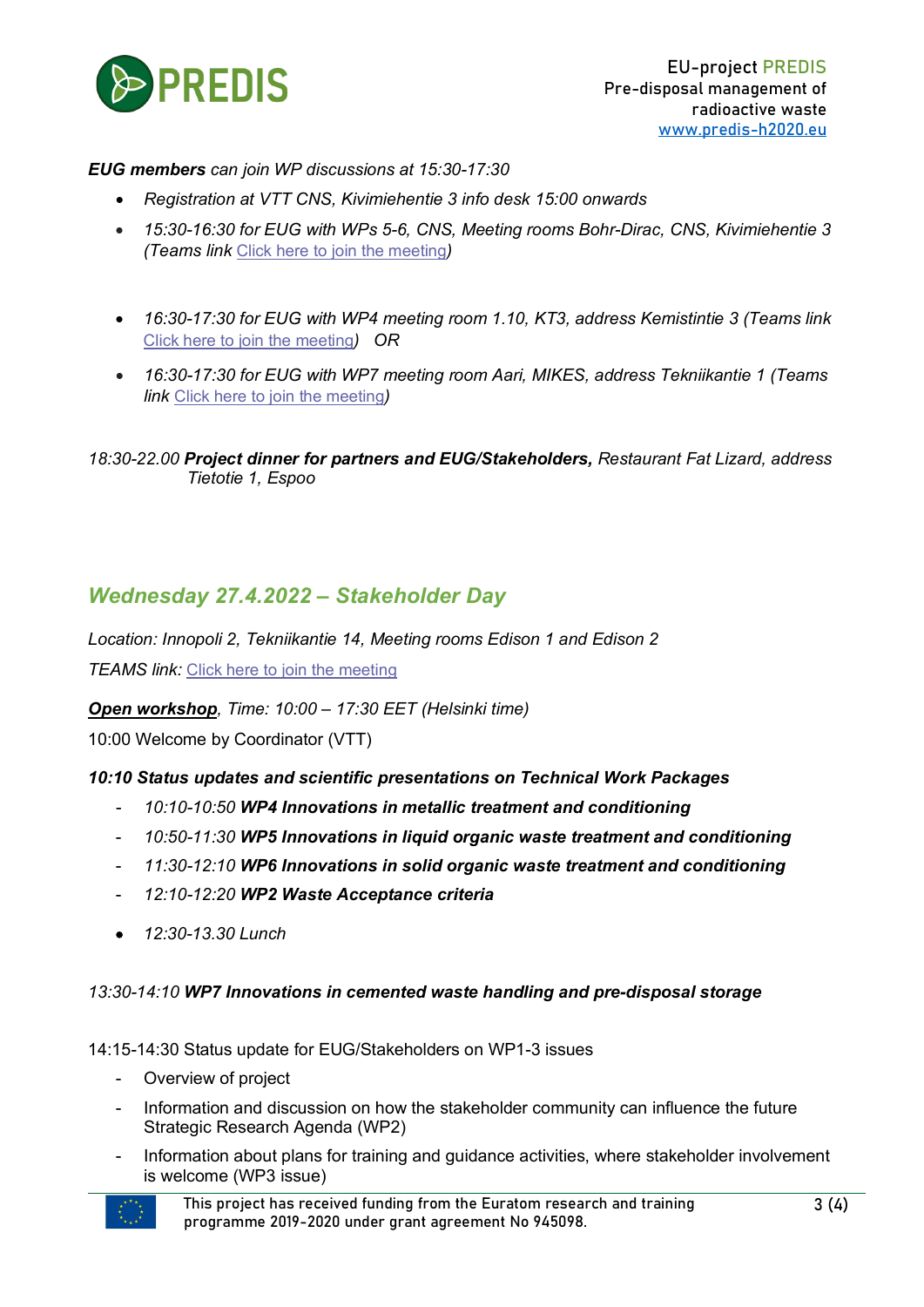

#### *EUG members can join WP discussions at 15:30-17:30*

- *Registration at VTT CNS, Kivimiehentie 3 info desk 15:00 onwards*
- *15:30-16:30 for EUG with WPs 5-6, CNS, Meeting rooms Bohr-Dirac, CNS, Kivimiehentie 3 (Teams link* [Click here to join the meeting](https://eur03.safelinks.protection.outlook.com/ap/t-59584e83/?url=https%3A%2F%2Fteams.microsoft.com%2Fl%2Fmeetup-join%2F19%253ameeting_YjkzNDI5NGMtN2Q0NS00Mzk2LWI1MjEtODc4YzgxNDEzMTI1%2540thread.v2%2F0%3Fcontext%3D%257b%2522Tid%2522%253a%252268d6b592-5008-43b5-9b04-23bec4e86cf7%2522%252c%2522Oid%2522%253a%2522d517d605-80f5-4c0e-b241-820d18b0ea9c%2522%257d&data=04%7C01%7CMaria.Oksa%40vtt.fi%7Cd9f79b6afb7f4ebbc4f108da1dffcb90%7C68d6b592500843b59b0423bec4e86cf7%7C0%7C0%7C637855281700810646%7CUnknown%7CTWFpbGZsb3d8eyJWIjoiMC4wLjAwMDAiLCJQIjoiV2luMzIiLCJBTiI6Ik1haWwiLCJXVCI6Mn0%3D%7C3000&sdata=%2FzZ1TXHXHhjaJq%2FMca%2FdExZu7i%2B0paD2jJzMp3vd3iw%3D&reserved=0)*)*
- *16:30-17:30 for EUG with WP4 meeting room 1.10, KT3, address Kemistintie 3 (Teams link*  [Click here to join the meeting](https://eur03.safelinks.protection.outlook.com/ap/t-59584e83/?url=https%3A%2F%2Fteams.microsoft.com%2Fl%2Fmeetup-join%2F19%253ameeting_OWUzYjlhNDEtMjdiZC00ZDUzLThlMWMtNTVjYWRjMWZjYzcz%2540thread.v2%2F0%3Fcontext%3D%257b%2522Tid%2522%253a%252268d6b592-5008-43b5-9b04-23bec4e86cf7%2522%252c%2522Oid%2522%253a%2522d517d605-80f5-4c0e-b241-820d18b0ea9c%2522%257d&data=04%7C01%7CMaria.Oksa%40vtt.fi%7C2cd8c03b98c248d9049b08da1e000e17%7C68d6b592500843b59b0423bec4e86cf7%7C0%7C0%7C637855282815755021%7CUnknown%7CTWFpbGZsb3d8eyJWIjoiMC4wLjAwMDAiLCJQIjoiV2luMzIiLCJBTiI6Ik1haWwiLCJXVCI6Mn0%3D%7C3000&sdata=YJu8ILPP1j1cMDXvxnY3hj0yo8Z%2BE3UNWRMePuKwTC4%3D&reserved=0)*) OR*
- *16:30-17:30 for EUG with WP7 meeting room Aari, MIKES, address Tekniikantie 1 (Teams link* [Click here to join the meeting](https://eur03.safelinks.protection.outlook.com/ap/t-59584e83/?url=https%3A%2F%2Fteams.microsoft.com%2Fl%2Fmeetup-join%2F19%253ameeting_MWMzOTA0NDQtYzgwOS00MmZjLWIwNGEtODRmMGQ2OTYzYWY2%2540thread.v2%2F0%3Fcontext%3D%257b%2522Tid%2522%253a%252268d6b592-5008-43b5-9b04-23bec4e86cf7%2522%252c%2522Oid%2522%253a%2522d517d605-80f5-4c0e-b241-820d18b0ea9c%2522%257d&data=04%7C01%7CMaria.Oksa%40vtt.fi%7C021b50f9ed894af2e1e908da1e0045f3%7C68d6b592500843b59b0423bec4e86cf7%7C0%7C0%7C637855283753481514%7CUnknown%7CTWFpbGZsb3d8eyJWIjoiMC4wLjAwMDAiLCJQIjoiV2luMzIiLCJBTiI6Ik1haWwiLCJXVCI6Mn0%3D%7C3000&sdata=4KYsRa1nRWiwNPzDwvtyvWQ3FTNrTtM9Vbwr8vBO04M%3D&reserved=0)*)*

*18:30-22.00 Project dinner for partners and EUG/Stakeholders, Restaurant Fat Lizard, address Tietotie 1, Espoo*

## *Wednesday 27.4.2022 – Stakeholder Day*

*Location: Innopoli 2, Tekniikantie 14, Meeting rooms Edison 1 and Edison 2* **TEAMS link:** [Click here to join the meeting](https://eur03.safelinks.protection.outlook.com/ap/t-59584e83/?url=https%3A%2F%2Fteams.microsoft.com%2Fl%2Fmeetup-join%2F19%253ameeting_YjhjZjdiNmUtNTlkYS00MDc0LWE1ZGUtMjIxODcyNjExMjY0%2540thread.v2%2F0%3Fcontext%3D%257b%2522Tid%2522%253a%252268d6b592-5008-43b5-9b04-23bec4e86cf7%2522%252c%2522Oid%2522%253a%2522d517d605-80f5-4c0e-b241-820d18b0ea9c%2522%257d&data=04%7C01%7CMaria.Oksa%40vtt.fi%7Ce47c85f902874254ab7708da1dff28ff%7C68d6b592500843b59b0423bec4e86cf7%7C0%7C0%7C637855278980284145%7CUnknown%7CTWFpbGZsb3d8eyJWIjoiMC4wLjAwMDAiLCJQIjoiV2luMzIiLCJBTiI6Ik1haWwiLCJXVCI6Mn0%3D%7C3000&sdata=R1wY9CsVRaLUXdljh%2BkARTzAXGXolkVAfiSH6LaqVPg%3D&reserved=0)

*Open workshop, Time: 10:00 – 17:30 EET (Helsinki time)*

10:00 Welcome by Coordinator (VTT)

#### *10:10 Status updates and scientific presentations on Technical Work Packages*

- *10:10-10:50 WP4 Innovations in metallic treatment and conditioning*
- *10:50-11:30 WP5 Innovations in liquid organic waste treatment and conditioning*
- *11:30-12:10 WP6 Innovations in solid organic waste treatment and conditioning*
- *12:10-12:20 WP2 Waste Acceptance criteria*
- *12:30-13.30 Lunch*

#### *13:30-14:10 WP7 Innovations in cemented waste handling and pre-disposal storage*

14:15-14:30 Status update for EUG/Stakeholders on WP1-3 issues

- Overview of project
- Information and discussion on how the stakeholder community can influence the future Strategic Research Agenda (WP2)
- Information about plans for training and guidance activities, where stakeholder involvement is welcome (WP3 issue)